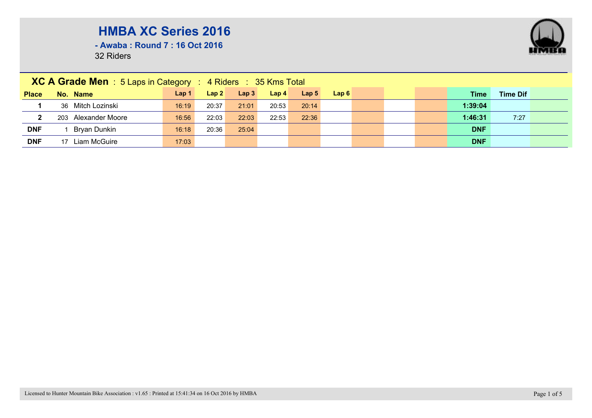**- Awaba : Round 7 : 16 Oct 2016**

|              | XC A Grade Men : 5 Laps in Category : 4 Riders : 35 Kms Total |       |       |                  |                  |                  |      |  |  |  |            |                 |  |
|--------------|---------------------------------------------------------------|-------|-------|------------------|------------------|------------------|------|--|--|--|------------|-----------------|--|
| <b>Place</b> | No. Name                                                      | Lap 1 | Lap2  | Lap <sub>3</sub> | Lap <sub>4</sub> | Lap <sub>5</sub> | Lap6 |  |  |  | Time       | <b>Time Dif</b> |  |
|              | 36 Mitch Lozinski                                             | 16:19 | 20:37 | 21:01            | 20:53            | 20:14            |      |  |  |  | 1:39:04    |                 |  |
| $\mathbf{2}$ | 203 Alexander Moore                                           | 16:56 | 22:03 | 22:03            | 22:53            | 22:36            |      |  |  |  | 1:46:31    | 7:27            |  |
| <b>DNF</b>   | Bryan Dunkin                                                  | 16:18 | 20:36 | 25:04            |                  |                  |      |  |  |  | <b>DNF</b> |                 |  |
| <b>DNF</b>   | 17 Liam McGuire                                               | 17:03 |       |                  |                  |                  |      |  |  |  | <b>DNF</b> |                 |  |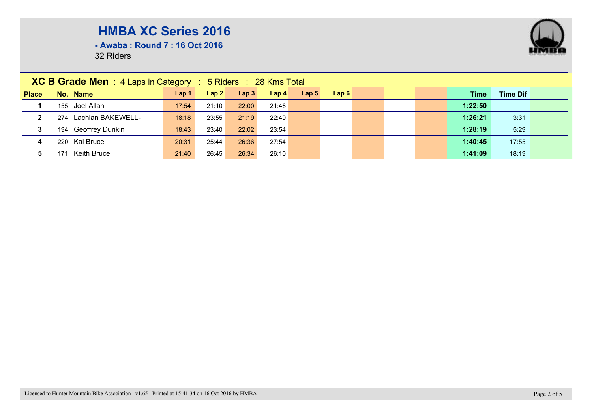

**- Awaba : Round 7 : 16 Oct 2016**

|              | <b>XC B Grade Men</b> : 4 Laps in Category : 5 Riders : 28 Kms Total |                  |       |                  |                  |                  |      |  |  |         |                 |  |  |
|--------------|----------------------------------------------------------------------|------------------|-------|------------------|------------------|------------------|------|--|--|---------|-----------------|--|--|
| <b>Place</b> | No. Name                                                             | Lap <sub>1</sub> | Lap2  | Lap <sub>3</sub> | Lap <sub>4</sub> | Lap <sub>5</sub> | Lap6 |  |  | Time    | <b>Time Dif</b> |  |  |
|              | 155 Joel Allan                                                       | 17:54            | 21:10 | 22:00            | 21:46            |                  |      |  |  | 1:22:50 |                 |  |  |
| $\mathbf{2}$ | 274 Lachlan BAKEWELL-                                                | 18:18            | 23:55 | 21:19            | 22:49            |                  |      |  |  | 1:26:21 | 3:31            |  |  |
| 3            | 194 Geoffrey Dunkin                                                  | 18:43            | 23:40 | 22:02            | 23:54            |                  |      |  |  | 1:28:19 | 5:29            |  |  |
| 4            | 220 Kai Bruce                                                        | 20:31            | 25:44 | 26:36            | 27:54            |                  |      |  |  | 1:40:45 | 17:55           |  |  |
| 5.           | Keith Bruce<br>171                                                   | 21:40            | 26:45 | 26:34            | 26:10            |                  |      |  |  | 1:41:09 | 18:19           |  |  |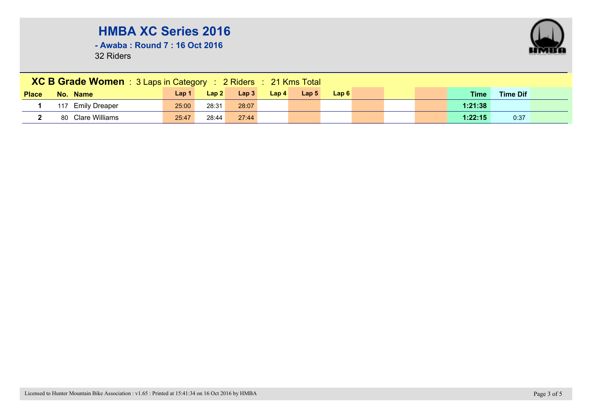**- Awaba : Round 7 : 16 Oct 2016**

|              | <b>XC B Grade Women</b> : 3 Laps in Category : 2 Riders : 21 Kms Total |       |       |       |                  |                  |      |  |  |  |             |                 |  |
|--------------|------------------------------------------------------------------------|-------|-------|-------|------------------|------------------|------|--|--|--|-------------|-----------------|--|
| <b>Place</b> | No. Name                                                               | Lap 1 | Lap2  | Lap3  | Lap <sub>4</sub> | Lap <sub>5</sub> | Lap6 |  |  |  | <b>Time</b> | <b>Time Dif</b> |  |
|              | 117 Emily Dreaper                                                      | 25:00 | 28:31 | 28:07 |                  |                  |      |  |  |  | 1:21:38     |                 |  |
|              | 80 Clare Williams                                                      | 25:47 | 28:44 | 27:44 |                  |                  |      |  |  |  | 1:22:15     | 0:37            |  |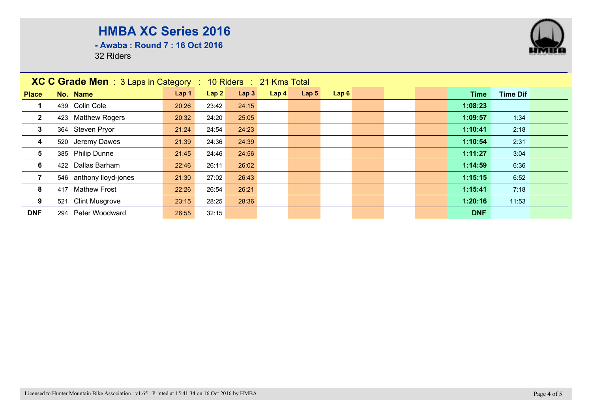**- Awaba : Round 7 : 16 Oct 2016**

|                         | <b>XC C Grade Men</b> : 3 Laps in Category : 10 Riders : 21 Kms Total |                  |       |       |                  |                  |      |  |            |                 |  |
|-------------------------|-----------------------------------------------------------------------|------------------|-------|-------|------------------|------------------|------|--|------------|-----------------|--|
| <b>Place</b>            | No. Name                                                              | Lap <sub>1</sub> | Lap2  | Lap3  | Lap <sub>4</sub> | Lap <sub>5</sub> | Lap6 |  | Time       | <b>Time Dif</b> |  |
|                         | 439 Colin Cole                                                        | 20:26            | 23:42 | 24:15 |                  |                  |      |  | 1:08:23    |                 |  |
| $\overline{2}$          | 423 Matthew Rogers                                                    | 20:32            | 24:20 | 25:05 |                  |                  |      |  | 1:09:57    | 1:34            |  |
| $\mathbf{3}$            | 364 Steven Pryor                                                      | 21:24            | 24:54 | 24:23 |                  |                  |      |  | 1:10:41    | 2:18            |  |
| $\overline{\mathbf{4}}$ | 520 Jeremy Dawes                                                      | 21:39            | 24:36 | 24:39 |                  |                  |      |  | 1:10:54    | 2:31            |  |
| $5\overline{)}$         | 385 Philip Dunne                                                      | 21:45            | 24:46 | 24:56 |                  |                  |      |  | 1:11:27    | 3:04            |  |
| 6                       | 422 Dallas Barham                                                     | 22:46            | 26:11 | 26:02 |                  |                  |      |  | 1:14:59    | 6:36            |  |
| $\overline{7}$          | 546 anthony lloyd-jones                                               | 21:30            | 27:02 | 26:43 |                  |                  |      |  | 1:15:15    | 6:52            |  |
| 8                       | 417 Mathew Frost                                                      | 22:26            | 26:54 | 26:21 |                  |                  |      |  | 1:15:41    | 7:18            |  |
| 9                       | 521 Clint Musgrove                                                    | 23:15            | 28:25 | 28:36 |                  |                  |      |  | 1:20:16    | 11:53           |  |
| <b>DNF</b>              | Peter Woodward<br>294                                                 | 26:55            | 32:15 |       |                  |                  |      |  | <b>DNF</b> |                 |  |